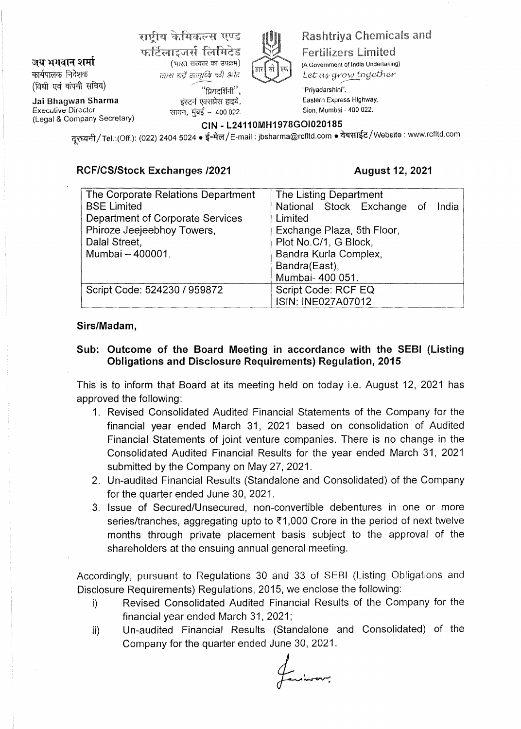जय भगवान शर्मा कार्यपालक निदेशक (विधी एवं कंपनी सचिव)

**Jai Bhagwan Sharma**  Execulive Director (Legal & Company Secretary)

राष्ट्रीय केमिकल्स एण्ड फर्टिलाइजर्स लिमिटेड<br>(भारत सरकार का उपक्रम) छाथ यद्दे समाध्दि की ओर

सायन, मंबई  $-$  400 022.



# htriya Chemicals ar **Fertilizers Limited** (A Government of India Undertaking)

Let us grow together

/ "ਸਿਧਵ(ਪੈਜੀ'', "Priyadarshini", ~ ~ ~. Eastern Express Highway,

**CIN - L24110MH1978GOI020185** 

नूरध्वनी / Tel.:(Off.): (022) 2404 5024 • ई-मेल / E-mail : jbsharma@rcfltd.com • वेबसाईट / Website : www.rcfltd.com

# **RCF/CS/Stock Exchanges /2021 August 12, 2021**

| The Corporate Relations Department | The Listing Department           |  |  |  |  |  |
|------------------------------------|----------------------------------|--|--|--|--|--|
| <b>BSE Limited</b>                 | National Stock Exchange of India |  |  |  |  |  |
| Department of Corporate Services   | Limited                          |  |  |  |  |  |
| Phiroze Jeejeebhoy Towers,         | Exchange Plaza, 5th Floor,       |  |  |  |  |  |
| Dalal Street,                      | Plot No.C/1, G Block,            |  |  |  |  |  |
| Mumbai - 400001.                   | Bandra Kurla Complex,            |  |  |  |  |  |
|                                    | Bandra(East),                    |  |  |  |  |  |
|                                    | Mumbai- 400 051.                 |  |  |  |  |  |
| Script Code: 524230 / 959872       | Script Code: RCF EQ              |  |  |  |  |  |
|                                    | <b>ISIN: INE027A07012</b>        |  |  |  |  |  |

# **Sirs/Madam,**

# **Sub: Outcome of the Board Meeting in accordance with the SEBI (Listing Obligations and Disclosure Requirements) Regulation, 2015**

This is to inform that Board at its meeting held on today i.e. August 12, 2021 has approved the following:

- 1. Revised Consolidated Audited Financial Statements of the Company for the financial year ended March 31, 2021 based on consolidation of Audited Financial Statements of joint venture companies. There is no change in the Consolidated Audited Financial Results for the year ended March 31, 2021 submitted by the Company on May 27, 2021.
- 2. Un-audited Financial Results (Standalone and Consolidated) of the Company for the quarter ended June 30, 2021.
- 3. Issue of Secured/Unsecured, non-convertible debentures in one or more series/tranches, aggregating upto to  $\overline{3}1,000$  Crore in the period of next twelve months through private placement basis subject to the approval of the shareholders at the ensuing annual general meeting.

Accordingly, pursuant to Regulations 30 and 33 of SEBI (Listing Obligations and Disclosure Requirements) Regulations, 2015, we enclose the following:

- i) Revised Consolidated Audited Financial Results of the Company for the financial year ended March 31, 2021;
- ii) Un-audited Financial Results (Standalone and Consolidated) of the Company for the quarter ended June 30, 2021.

fairing on .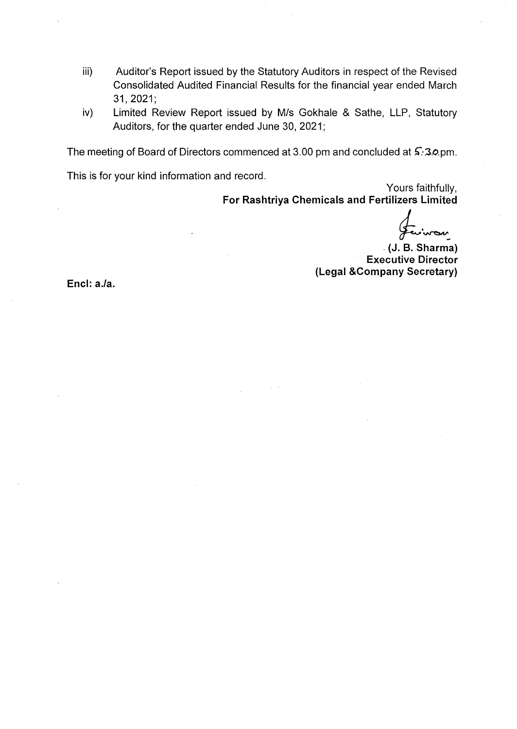- iii) Auditor's Report issued by the Statutory Auditors in respect of the Revised Consolidated Audited Financial Results for the financial year ended March 31,2021;
- iv) Limited Review Report issued by M/s Gokhale & Sathe, LLP, Statutory Auditors, for the quarter ended June 30, 2021;

The meeting of Board of Directors commenced at 3.00 pm and concluded at  $\mathsf{S}$ . 3.0 pm.

This is for your kind information and record.

Yours faithfully, **For Rashtriya Chemicals and Fertilizers Limited** 

. **(J.**  ~~ **8. Sharma)** 

**Executive Director (Legal &Company Secretary)** 

**Encl: a.la.**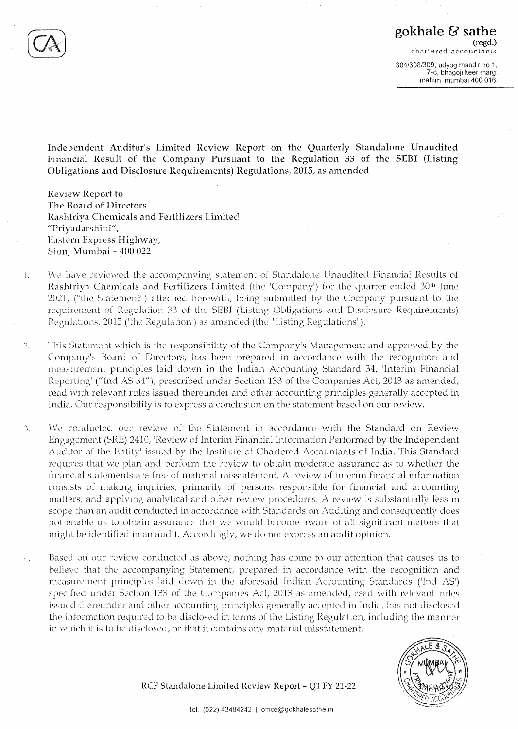7-c, bhagoji keer marg, mahim, mumbai 400 016.

**Independent Auditor's Limited Review Report on the Quarterly Standalone Unaudited Financial Result of the Company Pursuant to the Regulation 33 of the SEBI (Listing Obligations and Disclosure Requirements) Regulations, 2015, as amended** 

**Review Report to The Board of Directors Rashtriya Chemicals and Fertilizers Limited "Priyadarshini** *<sup>11</sup> 1*  **Eastern Express Highway, Sion, Mumbai** - **400 022** 

- 1. We have reviewed the accompanying statement of Standalone Unaudited Financial Results of Rashtriya Chemicals and Fertilizers Limited (the 'Company') for the quarter ended 30<sup>th</sup> June 2021, ("the Statement") attached herewith, being submitted by the Company pursuant to the requirement of Regulation 33 of the SEBI (Listing Obligations and Disclosure Requirements) Regulations, 2015 ('the Regulation') as amended (the "Listing Regulations").
- 2. This Statement which is the responsibility of the Company's Management and approved by the Company's Board of Directors, has been prepared in accordance with the recognition and reasurement principles laid down in the Indian Accounting Standard 34, 'Interim Financial Reporting' ("Ind AS 34"), prescribed under Section 133 of the Companies Act, 2013 as amended, read with relevant rules issued thereunder and other accounting principles generally accepted in India. Our responsibility is to express a conclusion on the statement based on our review.
- 3. We conducted our review of the Statement in accordance with the Standard on Review Engagement (SRE) 2410, 'Review of Interim Financial Information Performed by the Independent Auditor of the Entity' issued by the Institute of Chartered Accountants of India. This Standard requires that vve plan and perform the review to obtain moderate assurance as to whelher the financial statements are free of material misstatement. A review of interim financial information consists of making inquiries, primarily of persons responsible for financial and accounting matters, and applying analytical and other review procedures. A review is substantially less in scope than an audit conducted in accordance with Standards on Auditing and consequently does not enable us to obtain assurance that we would become aware of all significant matters that might be identified in an audit. Accordingly, we do not express an audit opinion.
- 4. Based on our review conducted as above, nothing has come to our attention that causes us to believe that the accompanying Statement, prepared in accordance with the recognition and measurement principles laid dovvn in the aforesaid Indian Accounting Standards ('Ind AS') specified under Section 133 of the Companies Act, 2013 as amended, read with relevant rules issued thereunder and other accounting principles generally accepted in India, has not disclosed the information required to be disclosed in terms of the Listing Regulation, including the manner in which it is to be disclosed, or that it contains any material misstatement.



**RCF Standalone Limited Review Report** - **Ql FY 21-22**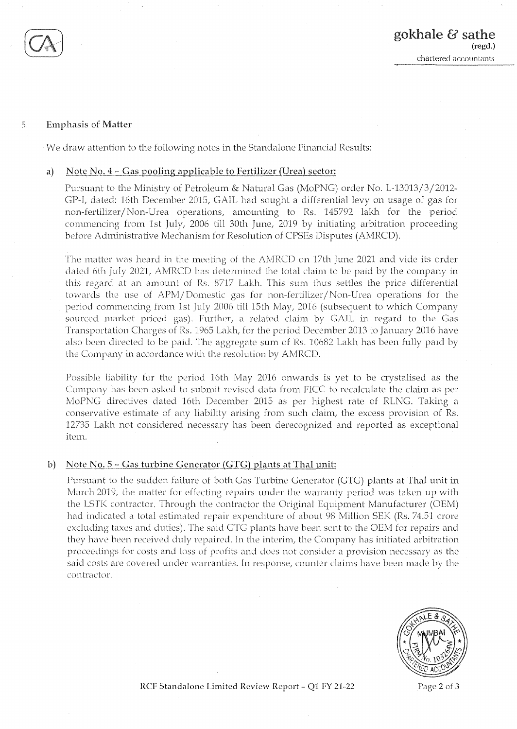

## :,. **Emphasis of Matter**

We draw attention to the following notes in the Standalone Financial Results:

## a) Note No.  $4 - Gas$  pooling applicable to Fertilizer (Urea) sector:

Pursuant to the Ministry of Petroleun, & Natural Gas (MoPNG) order No. L-13013/3/2012- GP-I, dated: 16th December 2015, GAIL had sought a differential levy on usage of gas for non-fertilizer/Non-Urea operations, amounting to Rs. 145792 lakh for the period commencing from 1st July, 2006 till 30th June, 2019 by initiating arbitration proceeding before Administrative Mechanism for Resolution of CPSEs Disputes (AMRCD).

The matter was heard in the meeting of the AMRCD on 17th June 2021 and vide its order dated 6th July 2021, AMRCD has determined the total claim to be paid by the company in this regard at an amount of Rs. 8717 Lakh. This sum thus settles the price differential towards the use of APM/Domestic gas for non-fertilizer/Non-Urea operations for the period commencing from 1st July 2006 till 15th May, 2016 (subsequent to which Company sourced market priced gas). Further, a related claim by GAIL in regard to the Gas Transportation Charges of Rs. 1965 Lakh, for the period December 2013 to January 20] 6 have also been directed to be paid. The aggregate sum of Rs. 10682 Lakh has been fully paid by the Company in accordance with the resolution by AMRCD.

Possible liability for the period 16th May 2016 onwards is yet to be crystalised as the Company has been asked to submit revised data from FICC to recalculate the claim as per MoPNG directives dated 16th December 2015 as per highest rate of RLNG. Taking a conservative estimate of any liability arising from such claim, the excess provision of Rs. 12735 Lakh not considered necessary has been derecognized and reported as exceptional item.

## **b)** Note No.  $5 -$  Gas turbine Generator (GTG) plants at Thal unit:

Pursuant to the sudden failure of both Gas Turbine Generator (GIG) plants at Thal unit in March 2019, the matter for effecting repairs under the warranty period was taken up with the LSTK contractor. Through the contractor the Original Equipment Manufacturer (OEM) had indicated a total estimated repair expenditure of about 98 Million SEK (Rs. 74.51 crore excluding taxes and duties). The said GTG plants have been sent to the OEM for repairs and they have been received duly repaired. In the interim, the Company has initiated arbitration proceedings for costs and loss of profits and does not consider a provision necessary as the said costs are covered under warranties. In response, counter claims have been made by the contractor.



**RCF Standalone Limited Review Report** - **Ql FY 21-22** Page **2** of **3**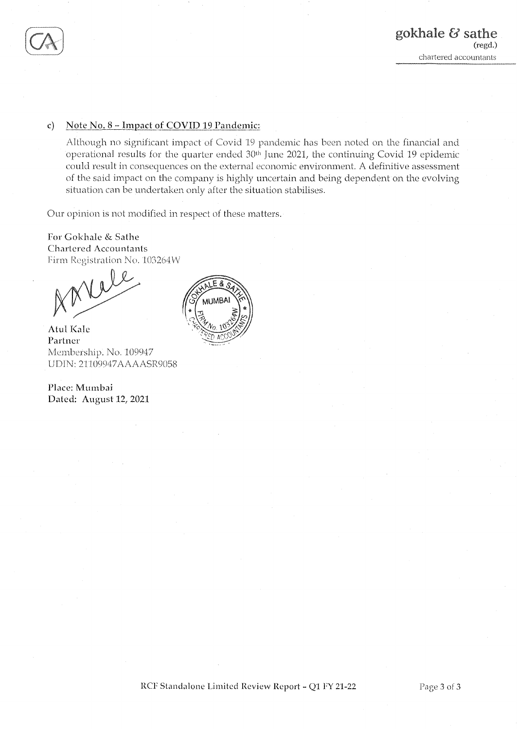

# **c) Note No. 8** - **Impact of COVID 19\_Pandemic:**

Although no significant impact of Covid 19 pandemic has been noted on the financial and operational results for the quarter ended 30<sup>th</sup> June 2021, the continuing Covid 19 epidemic could result in consequences on the external economic environment. A definitive assessment of the said impact on the company is highly uncertain and being dependent on the evolving situation can be undertaken only after the situation stabilises.

Our opinion is not modified in respect of these matters.

**For Gokhak** & **Sathe Chartered Accountants**  Firm Registration No. 103264W

 $V$ 

**Atul Kale Partner**  Membership. No. 109947 UDIN: 21109947AAAASR9058

**Place: Murnbai Dated: August 12, 2021** 

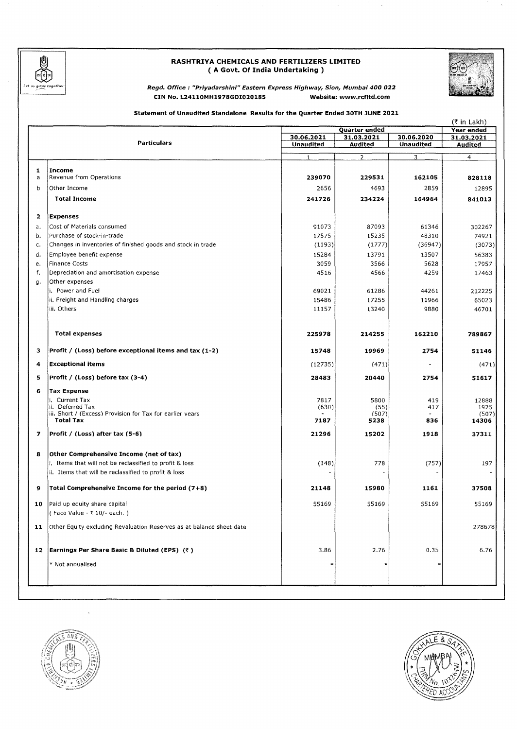

# **RASHTRIYA CHEMICALS AND FERTILIZERS LIMITED**  ( **A Govt. Of India Undertaking** )



**Regd. Office : "Priyadarshinl" Eastern Express Highway, Sion, Mumbai 400 022 CIN No. L24110MH1978GOI020185 Website: www.rcfltd.com** 

# **Statement of Unaudited Standalone Results for the Quarter Ended 30TH JUNE 2021**

|    |                                                                      |                  | (₹ in Lakh)                 |                  |                                 |
|----|----------------------------------------------------------------------|------------------|-----------------------------|------------------|---------------------------------|
|    |                                                                      | 30.06.2021       | Quarter ended<br>31.03.2021 | 30.06.2020       | <b>Year ended</b><br>31.03.2021 |
|    | <b>Particulars</b>                                                   | <b>Unaudited</b> | Audited                     | <b>Unaudited</b> | Audited                         |
|    |                                                                      |                  |                             |                  |                                 |
|    |                                                                      |                  | $\overline{2}$              | 3                | 4                               |
| 1  | Income                                                               |                  |                             |                  |                                 |
| a  | Revenue from Operations                                              | 239070           | 229531                      | 162105           | 828118                          |
| b  | Other Income                                                         | 2656             | 4693                        | 2859             | 12895                           |
|    | <b>Total Income</b>                                                  | 241726           | 234224                      | 164964           | 841013                          |
| 2  | <b>Expenses</b>                                                      |                  |                             |                  |                                 |
|    |                                                                      |                  |                             |                  |                                 |
| a. | Cost of Materials consumed                                           | 91073            | 87093                       | 61346            | 302267                          |
| b. | Purchase of stock-in-trade                                           | 17575            | 15235                       | 48310            | 74921                           |
| c. | Changes in inventories of finished goods and stock in trade          | (1193)           | (1777)                      | (36947)          | (3073)                          |
| d. | Employee benefit expense                                             | 15284            | 13791                       | 13507            | 56383                           |
| e. | <b>Finance Costs</b>                                                 | 3059             | 3566                        | 5628             | 17957                           |
| f. | Depreciation and amortisation expense                                | 4516             | 4566                        | 4259             | 17463                           |
| g. | Other expenses                                                       |                  |                             |                  |                                 |
|    | i. Power and Fuel                                                    | 69021            | 61286                       | 44261            | 212225                          |
|    | ii. Freight and Handling charges                                     | 15486            | 17255                       | 11966            | 65023                           |
|    | iii. Others                                                          | 11157            | 13240                       | 9880             | 46701                           |
|    | <b>Total expenses</b>                                                | 225978           | 214255                      | 162210           | 789867                          |
| з  | Profit / (Loss) before exceptional items and tax (1-2)               | 15748            | 19969                       | 2754             | 51146                           |
| 4  | <b>Exceptional items</b>                                             | (12735)          | (471)                       |                  | (471)                           |
| 5  | Profit / (Loss) before tax $(3-4)$                                   | 28483            | 20440                       | 2754             | 51617                           |
| 6  | Tax Expense                                                          |                  |                             |                  |                                 |
|    | i. Current Tax                                                       | 7817             | 5800                        | 419              | 12888                           |
|    | ii. Deferred Tax                                                     | (630)            | (55)                        | 417              | 1925                            |
|    | iii. Short / (Excess) Provision for Tax for earlier years            |                  | (507)                       |                  | (507)                           |
|    | <b>Total Tax</b>                                                     | 7187             | 5238                        | 836              | 14306                           |
| 7  | Profit / (Loss) after tax (5-6)                                      | 21296            | 15202                       | 1918             | 37311                           |
| 8  | Other Comprehensive Income (net of tax)                              |                  |                             |                  |                                 |
|    | i. Items that will not be reclassified to profit & loss              | (148)            | 778                         | (757)            | 197                             |
|    | ii. Items that will be reclassified to profit & loss                 |                  |                             |                  |                                 |
| 9  | Total Comprehensive Income for the period (7+8)                      | 21148            | 15980                       | 1161             | 37508                           |
| 10 | Paid up equity share capital                                         | 55169            | 55169                       | 55169            | 55169                           |
|    | (Face Value - ₹ 10/- each.)                                          |                  |                             |                  |                                 |
| 11 | Other Equity excluding Revaluation Reserves as at balance sheet date |                  |                             |                  | 278678                          |
|    | 12 Earnings Per Share Basic & Diluted (EPS) $(*)$                    | 3.86             | 2.76                        | 0.35             | 6.76                            |
|    | * Not annualised                                                     | *                |                             | ∗                |                                 |
|    |                                                                      |                  |                             |                  |                                 |



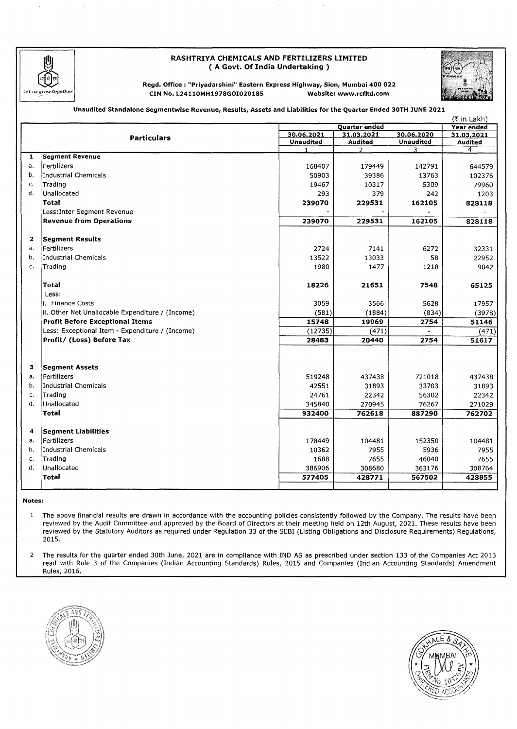

# **RASHTRIYA CHEMICALS AND FERTILIZERS LIMITED**  ( **A Govt. Of India Undertaking** )



**Regd, Office : "Priyadarshini" Eastern Express Highway, Sion, Mumbai 400 022 CIN No. L24110MH1978GOI02018S Website: www.rcfltd.com** 

### **Unaudited Standalone Segmentwise Revenue, Results, Assets and Liabilities for the Quarter Ended 30TH JUNE 2021**

|                |                                                  |                  |                      |                  | (₹ in Lakh)    |
|----------------|--------------------------------------------------|------------------|----------------------|------------------|----------------|
|                |                                                  |                  | <b>Quarter ended</b> |                  | Year ended     |
|                | <b>Particulars</b>                               | 30.06.2021       | 31.03.2021           | 30.06.2020       | 31.03.2021     |
|                |                                                  | <b>Unaudited</b> | <b>Audited</b>       | <b>Unaudited</b> | Audited        |
| $\mathbf{1}$   | <b>Segment Revenue</b>                           | 1                | $\mathcal{P}$        | 3                | $\overline{4}$ |
|                |                                                  |                  |                      |                  |                |
| а.             | Fertilizers                                      | 168407           | 179449               | 142791           | 644579         |
| b.             | Industrial Chemicals                             | 50903            | 39386                | 13763            | 102376         |
| c.             | Trading                                          | 19467            | 10317                | 5309             | 79960          |
| $\mathbf{d}$ . | Unallocated                                      | 293              | 379                  | 242              | 1203           |
|                | <b>Total</b>                                     | 239070           | 229531               | 162105           | 828118         |
|                | Less: Inter Segment Revenue                      |                  |                      |                  |                |
|                | <b>Revenue from Operations</b>                   | 239070           | 229531               | 162105           | 828118         |
| $\mathbf{2}$   | <b>Segment Results</b>                           |                  |                      |                  |                |
| a.             | Fertilizers                                      | 2724             | 7141                 | 6272             | 32331          |
| b.             | <b>Industrial Chemicals</b>                      | 13522            | 13033                | 58               | 22952          |
| $C_{1}$        | Trading                                          | 1980             | 1477                 | 1218             | 9842           |
|                |                                                  |                  |                      |                  |                |
|                | Total                                            | 18226            | 21651                | 7548             | 65125          |
|                | Less:                                            |                  |                      |                  |                |
|                | i. Finance Costs                                 | 3059             | 3566                 | 5628             | 17957          |
|                | ii. Other Net Unallocable Expenditure / (Income) | (581)            | (1884)               | (834)            | (3978)         |
|                | <b>Profit Before Exceptional Items</b>           | 15748            | 19969                | 2754             | 51146          |
|                | Less: Exceptional Item - Expenditure / (Income)  | (12735)          | (471)                | $\sim$           | (471)          |
|                | Profit/ (Loss) Before Tax                        | 28483            | 20440                | 2754             | 51617          |
|                |                                                  |                  |                      |                  |                |
|                |                                                  |                  |                      |                  |                |
| з              | <b>Segment Assets</b>                            |                  |                      |                  |                |
| a.             | Fertilizers                                      | 519248           | 437438               | 721018           | 437438         |
| b.             | Industrial Chemicals                             | 42551            | 31893                | 33703            | 31893          |
| c.             | Trading                                          | 24761            | 22342                | 56302            | 22342          |
| d.             | <b>Unallocated</b>                               | 345840           | 270945               | 76267            | 271029         |
|                | <b>Total</b>                                     | 932400           | 762618               | 887290           | 762702         |
|                |                                                  |                  |                      |                  |                |
| 4              | <b>Segment Liabilities</b>                       |                  |                      |                  |                |
| a.             | Fertilizers                                      | 178449           | 104481               | 152350           | 104481         |
| b.             | Industrial Chemicals                             | 10362            | 7955                 | 5936             | 7955           |
| c.             | Trading                                          | 1688             | 7655                 | 46040            | 7655           |
| $\mathbf{d}$ . | Unallocated                                      | 386906           | 308680               | 363176           | 308764         |
|                | <b>Total</b>                                     | 577405           | 428771               | 567502           | 428855         |
|                |                                                  |                  |                      |                  |                |

**Notes:** 

The above financial results are drawn in accordance with the accounting policies consistently followed by the Company. The results have been  $\mathbf{1}$ reviewed by the Audit Committee and approved by the Board of Directors at their meeting held on 12th August, 2021. These results have been reviewed by the Statutory Auditors as required under Regulation 33 of the SEBI (Listing Obligations and Disclosure Requirements) Regulations, 2015.

2 The results for the quarter ended 30th June, 2021 are in compliance with IND AS as prescribed under section 133 of the Companies Act 2013 read with Rule 3 of the Companies (Indian Accounting Standards) Rules, 2015 and Companies (Indian Accounting Standards) Amendment Rules, 2016.



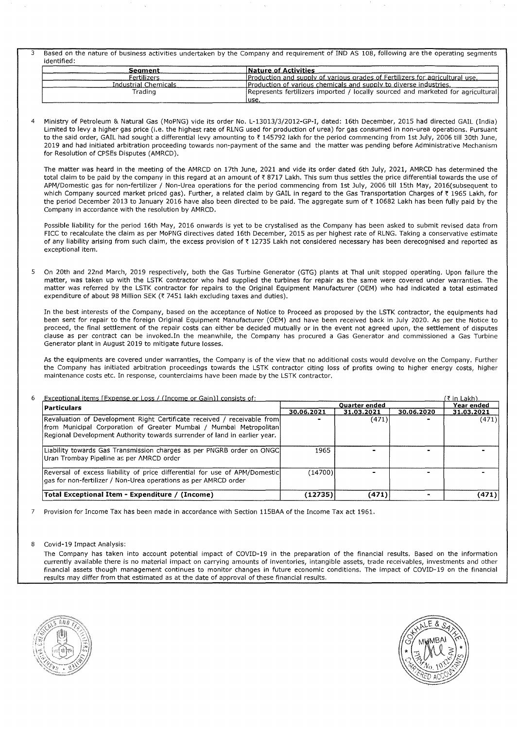3 Based on the nature of business activities undertaken by the Company and requirement of IND AS 108, following are the operating segments identified:

| Seament              | Nature of Activities                                                            |
|----------------------|---------------------------------------------------------------------------------|
| Fertilizers          | Production and supply of various grades of Fertilizers for agricultural use.    |
| Industrial Chemicals | Production of various chemicals and supply to diverse industries.               |
| Trading              | Represents fertilizers imported / locally sourced and marketed for agricultural |
|                      | luse.                                                                           |

4 Ministry of Petroleum & Natural Gas (MoPNG) vide its order No. L-13013/3/2012-GP-I, dated: 16th December, 2015 had directed GAIL (India) Limited to levy a higher gas price (i.e. the highest rate of RLNG used for production of urea) for gas consumed in non-urea operations. Pursuant to the said order, GAIL had sought a differential levy amounting to ₹145792 lakh for the period commencing from 1st July, 2006 till 30th June, 2019 and had initiated arbitration proceeding towards non-payment of the same and the matter was pending before Administrative Mechanism for Resolution of CPSEs Disputes (AMRCD).

The matter was heard in the meeting of the AMRCD on 17th June, 2021 and vide its order dated 6th July, 2021, AMRCD has determined the total claim to be paid by the company in this regard at an amount of ₹8717 Lakh. This sum thus settles the price differential towards the use of APM/Domestic gas for non-fertilizer/ Non-Urea operations for the period commencing from 1st July, 2006 till 15th May, 2016(subsequent to which Company sourced market priced gas). Further, a related claim by GAIL in regard to the Gas Transportation Charges of ₹ 1965 Lakh, for the period December 2013 to January 2016 have also been directed to be paid. The aggregate sum of ₹ 10682 Lakh has been fully paid by the Company in accordance with the resolution by AMRCD.

Possible liability for the period 16th May, 2016 onwards is yet to be crystalised as the Company has been asked to submit revised data from FICC to recalculate the claim as per MoPNG directives dated 16th December, 2015 as per highest rate of RLNG. Taking a conservative estimate of any liability arising from such claim, the excess provision of ₹12735 Lakh not considered necessary has been derecognised and reported as exceptional item.

5 On 20th and 22nd March, 2019 respectively, both the Gas Turbine Generator (GTG) plants at Thal unit stopped operating. Upon failure the matter, was taken up with the LSTK contractor who had supplied the turbines for repair as the same were covered under warranties. The matter was referred by the LSTK contractor for repairs to the Original Equipment Manufacturer (OEM) who had indicated a total estimated expenditure of about 98 Million SEK ( $\bar{\tau}$  7451 lakh excluding taxes and duties).

In the best interests of the Company, based on the acceptance of Notice to Proceed as proposed by the LSTK contractor, the equipments had been sent for repair to the foreign Original Equipment Manufacturer (OEM) and have been received back in July 2020. As per the Notice to proceed, the final settlement of the repair costs can either be decided mutually or in the event not agreed upon, the settlement of disputes clause as per contract can be invoked.In the meanwhile, the Company has procured a Gas Generator and commissioned a Gas Turbine Generator plant in August 2019 to mitigate future losses.

As the equipments are covered under warranties, the Company is of the view that no additional costs would devolve on the Company. Further the Company has initiated arbitration proceedings towards the LSTK contractor citing loss of profits owing to higher energy costs, higher maintenance costs etc. In response, counterclaims have been made by the LSTK contractor.

| Exceptional items [Expense or Loss / (Income or Gain)] consists of:                                                                                                                                                         |            |            |            | (₹ in Lakh). |
|-----------------------------------------------------------------------------------------------------------------------------------------------------------------------------------------------------------------------------|------------|------------|------------|--------------|
| <b>Particulars</b>                                                                                                                                                                                                          |            |            | Year ended |              |
|                                                                                                                                                                                                                             | 30.06.2021 | 31.03.2021 | 30.06.2020 | 31.03.2021   |
| Revaluation of Development Right Certificate received / receivable from<br>from Municipal Corporation of Greater Mumbai / Mumbai Metropolitan)<br>Regional Development Authority towards surrender of land in earlier year. |            | (471)      |            | (471)        |
| Liability towards Gas Transmission charges as per PNGRB order on ONGC<br>Uran Trombay Pipeline as per AMRCD order                                                                                                           | 1965       |            |            |              |
| Reversal of excess liability of price differential for use of APM/Domestic<br>gas for non-fertilizer / Non-Urea operations as per AMRCD order                                                                               | (14700)    |            |            |              |
| Total Exceptional Item - Expenditure / (Income)                                                                                                                                                                             | (12735)    | (471)      |            | (471)        |

Provision for Income Tax has been made in accordance with Section 115BAA of the Income Tax act 1961.

#### 8 Covid-19 Impact Analysis:

The Company has taken into account potential impact of COVID-19 in the preparation of the financial results. Based on the information currently available there is no material impact on carrying amounts of inventories, intangible assets, trade receivables, investments and other financial assets though management continues to monitor changes in future economic conditions. The impact of COVID-19 on the financial results may differ from that estimated as at the date of approval of these financial results.



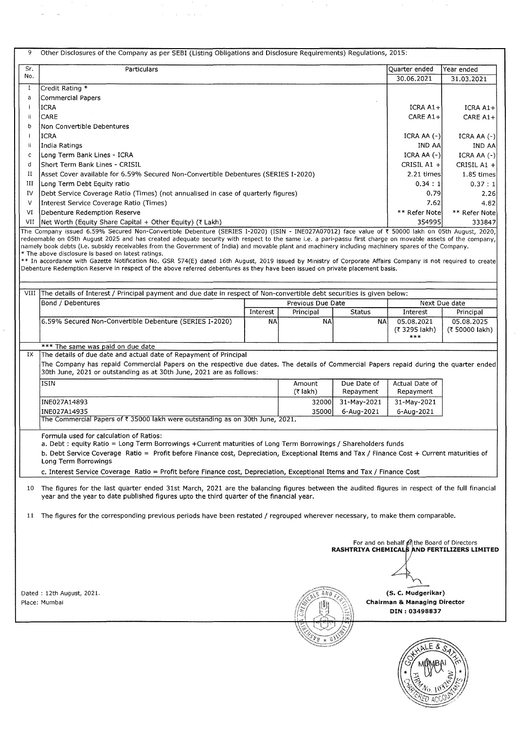| 9   | Other Disclosures of the Company as per SEBI (Listing Obligations and Disclosure Requirements) Regulations, 2015:                                                                                                                                                                                                                                                                                                                                                                                          |             |                   |               |                                                                                                                               |                                             |
|-----|------------------------------------------------------------------------------------------------------------------------------------------------------------------------------------------------------------------------------------------------------------------------------------------------------------------------------------------------------------------------------------------------------------------------------------------------------------------------------------------------------------|-------------|-------------------|---------------|-------------------------------------------------------------------------------------------------------------------------------|---------------------------------------------|
| Sr. | Particulars                                                                                                                                                                                                                                                                                                                                                                                                                                                                                                |             |                   |               | Quarter ended                                                                                                                 | Year ended                                  |
| No. |                                                                                                                                                                                                                                                                                                                                                                                                                                                                                                            |             |                   |               | 30.06.2021                                                                                                                    | 31.03.2021                                  |
| I   | Credit Rating *                                                                                                                                                                                                                                                                                                                                                                                                                                                                                            |             |                   |               |                                                                                                                               |                                             |
| a   | <b>Commercial Papers</b>                                                                                                                                                                                                                                                                                                                                                                                                                                                                                   |             |                   |               |                                                                                                                               |                                             |
| j   | ICRA                                                                                                                                                                                                                                                                                                                                                                                                                                                                                                       |             |                   |               |                                                                                                                               | ICRA A1+<br>ICRA A1+                        |
| ji  | CARE                                                                                                                                                                                                                                                                                                                                                                                                                                                                                                       |             |                   |               |                                                                                                                               | CARE A1+<br>CARE A1+                        |
| b   | Non Convertible Debentures                                                                                                                                                                                                                                                                                                                                                                                                                                                                                 |             |                   |               |                                                                                                                               |                                             |
|     | <b>ICRA</b>                                                                                                                                                                                                                                                                                                                                                                                                                                                                                                |             |                   |               | $ICRA AA (-)$                                                                                                                 | ICRA AA $(-)$                               |
| ij  | <b>India Ratings</b>                                                                                                                                                                                                                                                                                                                                                                                                                                                                                       |             |                   |               | <b>IND AA</b>                                                                                                                 | IND AA                                      |
| c   | Long Term Bank Lines - ICRA                                                                                                                                                                                                                                                                                                                                                                                                                                                                                |             | ICRA AA $(-)$     | ICRA AA (-)   |                                                                                                                               |                                             |
| d   | Short Term Bank Lines - CRISIL                                                                                                                                                                                                                                                                                                                                                                                                                                                                             | CRISIL A1 + | CRISIL A1 +       |               |                                                                                                                               |                                             |
| п   | Asset Cover available for 6.59% Secured Non-Convertible Debentures (SERIES I-2020)                                                                                                                                                                                                                                                                                                                                                                                                                         |             |                   |               | 2.21 times                                                                                                                    | 1.85 times                                  |
| ш   | Long Term Debt Equity ratio                                                                                                                                                                                                                                                                                                                                                                                                                                                                                |             |                   |               | 0.34:1                                                                                                                        | 0.37:1                                      |
| IV  | Debt Service Coverage Ratio (Times) (not annualised in case of quarterly figures)                                                                                                                                                                                                                                                                                                                                                                                                                          |             |                   |               | 0.79                                                                                                                          | 2.26                                        |
| ν   | Interest Service Coverage Ratio (Times)                                                                                                                                                                                                                                                                                                                                                                                                                                                                    |             |                   |               | 7.62                                                                                                                          | 4.82                                        |
| VI  | Debenture Redemption Reserve                                                                                                                                                                                                                                                                                                                                                                                                                                                                               |             |                   |               | ** Refer Note<br>354995                                                                                                       | ** Refer Note                               |
| VII | Net Worth (Equity Share Capital + Other Equity) (₹ Lakh)<br>The Company issued 6.59% Secured Non-Convertible Debenture (SERIES I-2020) (ISIN - INE027A07012) face value of ₹ 50000 lakh on 05th August, 2020,                                                                                                                                                                                                                                                                                              |             |                   |               |                                                                                                                               | 333847                                      |
|     | namely book debts (i.e. subsidy receivables from the Government of India) and movable plant and machinery including machinery spares of the Company.<br>* The above disclosure is based on latest ratings.<br>** In accordance with Gazette Notification No. GSR 574(E) dated 16th August, 2019 issued by Ministry of Corporate Affairs Company is not required to create<br>Debenture Redemption Reserve in respect of the above referred debentures as they have been issued on private placement basis. |             |                   |               |                                                                                                                               |                                             |
|     | VIII The details of Interest / Principal payment and due date in respect of Non-convertible debt securities is given below:                                                                                                                                                                                                                                                                                                                                                                                |             |                   |               |                                                                                                                               |                                             |
|     | Bond / Debentures                                                                                                                                                                                                                                                                                                                                                                                                                                                                                          |             | Previous Due Date |               |                                                                                                                               | Next Due date                               |
|     |                                                                                                                                                                                                                                                                                                                                                                                                                                                                                                            | Interest    | Principal         | <b>Status</b> | Interest                                                                                                                      | Principal                                   |
|     | 6.59% Secured Non-Convertible Debenture (SERIES I-2020)                                                                                                                                                                                                                                                                                                                                                                                                                                                    | <b>NA</b>   | NA                | NA            | 05.08.2021<br>(₹ 3295 lakh)<br>***                                                                                            | 05.08.2025<br>(₹ 50000 lakh)                |
|     | *** The same was paid on due date                                                                                                                                                                                                                                                                                                                                                                                                                                                                          |             |                   |               |                                                                                                                               |                                             |
| IX  | The details of due date and actual date of Repayment of Principal<br>The Company has repaid Commercial Papers on the respective due dates. The details of Commercial Papers repaid during the quarter ended<br>30th June, 2021 or outstanding as at 30th June, 2021 are as follows:<br><b>ISIN</b>                                                                                                                                                                                                         |             | Amount            | Due Date of   | Actual Date of                                                                                                                |                                             |
|     |                                                                                                                                                                                                                                                                                                                                                                                                                                                                                                            |             | $(7$ lakh)        | Repayment     | Repayment                                                                                                                     |                                             |
|     | INE027A14893                                                                                                                                                                                                                                                                                                                                                                                                                                                                                               |             | 32000             | 31-May-2021   | 31-May-2021                                                                                                                   |                                             |
|     | INE027A14935                                                                                                                                                                                                                                                                                                                                                                                                                                                                                               |             | 35000             | 6-Aug-2021    | 6-Aug-2021                                                                                                                    |                                             |
|     | The Commercial Papers of ₹ 35000 lakh were outstanding as on 30th June, 2021.                                                                                                                                                                                                                                                                                                                                                                                                                              |             |                   |               |                                                                                                                               |                                             |
|     | Formula used for calculation of Ratios:<br>a. Debt: equity Ratio = Long Term Borrowings +Current maturities of Long Term Borrowings / Shareholders funds<br>b. Debt Service Coverage Ratio = Profit before Finance cost, Depreciation, Exceptional Items and Tax / Finance Cost + Current maturities of<br>Long Term Borrowings<br>c. Interest Service Coverage Ratio = Profit before Finance cost, Depreciation, Exceptional Items and Tax / Finance Cost                                                 |             |                   |               |                                                                                                                               |                                             |
|     | 10 The figures for the last quarter ended 31st March, 2021 are the balancing figures between the audited figures in respect of the full financial<br>year and the year to date published figures upto the third quarter of the financial year.                                                                                                                                                                                                                                                             |             |                   |               |                                                                                                                               |                                             |
| 11  | The figures for the corresponding previous periods have been restated / regrouped wherever necessary, to make them comparable.                                                                                                                                                                                                                                                                                                                                                                             |             |                   |               |                                                                                                                               |                                             |
|     | Dated: 12th August, 2021.<br>Place: Mumbai                                                                                                                                                                                                                                                                                                                                                                                                                                                                 |             |                   |               | For and on behalf of the Board of Directors<br>(S. C. Mudgerikar)<br><b>Chairman &amp; Managing Director</b><br>DIN: 03498837 | RASHTRIYA CHEMICALS AND FERTILIZERS LIMITED |
|     |                                                                                                                                                                                                                                                                                                                                                                                                                                                                                                            |             |                   |               |                                                                                                                               |                                             |

 $\bar{\mathcal{S}}$ 

 $\hat{\boldsymbol{\beta}}$ 

 $\frac{1}{2}$ 

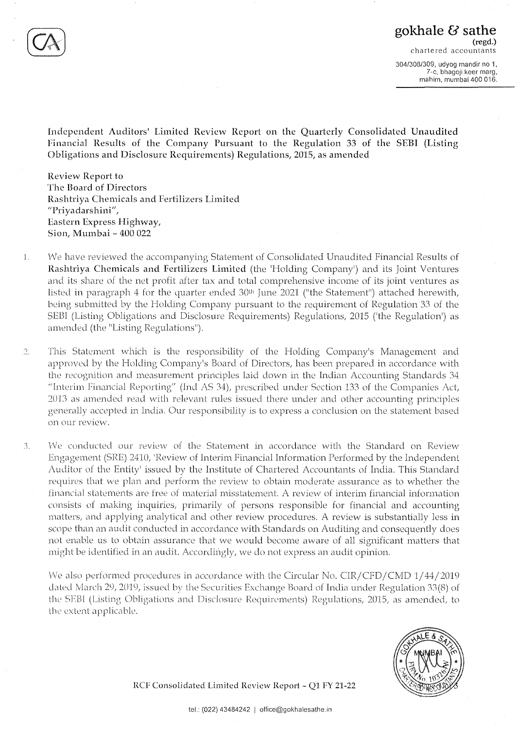7-c, bhagoji keer marg, mahim, mumbai 400 016.

**Independent Auditors' Limited Review Report on the Quarterly Consolidated Unaudited Financial Results of the Company Pursuant to the Regulation 33 of the SEBI (Listing Obligations and Disclosure Requirements) Regulations, 2015, as amended** 

**Review Report to The Board of Directors Rashtriya Chemicals and Fertilizers Limited "Priyadarshini'',**  Eastern Express Highway, **Sion, Mumbai** - **400 022** 

- l. We have reviewed the accompanying Statement of Consolidated Unaudited Financial Results of **Rashtriya Chemicals and Fertilizers Limited** (the 'Holding Company') and its Joint Ventures and its share of the net profit after tax and total comprehensive income of its joint ventures as listed in paragraph 4 for the quarter ended  $30<sup>th</sup>$  June 2021 ("the Statement") attached herewith, being submitted by the Holding Company pursuant to the requirement of Regulation 33 of the SEBI (Listing Obligations and Disclosure Requirements) Regulations, 2015 ('the Regulation') as amended (the "Listing Regulations").
- $\overline{2}$ . This Statement which is the responsibility of the Holding Company's Management and approved by the Holding Company's Board of Directors, has been prepared in accordance with the recognition and measurement principles laid down in the Indian Accounting Standards 34 "Interim Financial Reporting" (Ind AS 34), prescribed under Section 133 of the Companies Act, 2013 as amended read with relevant rules issued there under and other accounting principles generally accepted in India. Our responsibility is lo express a conclusion on the statement based on our review.
- 3. We conducted our review of the Statement in accordance with the Standard on Review Engagement (SRE) 2410, 'Review of Interim Financial Information Performed by the Independent Auditor of the Entity' issued by the Institute of Chartered Accountants of India. This Standard requires that we plan and perform the review to obtain moderate assurance as to whether the financial statements are free of material misstatement. A review of interim financial information consists of making inquiries, primarily of persons responsible for financial and accounting matters, and applying analytical and other review procedures. A review is substantially less in scope than an audit conducted in accordance with Standards on Auditing and consequently does not enable us to obtain assurance that we would become aware of all significant matters that might be identified in an audit. Accordingly, we do not express an audit opinion.

We also performed procedures in accordance with the Circular No. CIR/CFD/CMD 1/44/2019 dated March 29, 2019, issued by the Securities Exchange Board of India under Regulation 33(8) of the SEBI (Listing Obligations and Disclosure Requirements) Regulations, 2015, as amended, to the extent applicable.



**RCF Consolidated Limited Review Report** - **QI FY 21-22**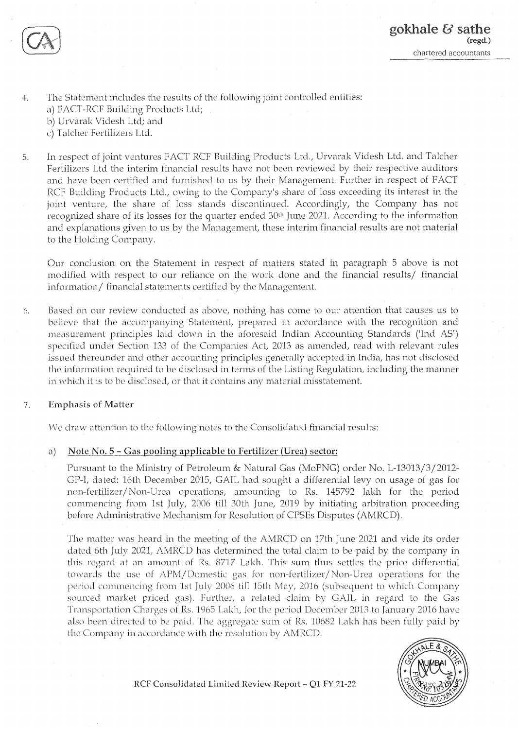

4. The Statement includes the results of the following joint controlled entities:

- a) FACT-RCF Building Products Ltd;
- b) Urvarak Videsh Ltd; and
- c) Talcher Fertilizers Ltd.
- 5. In respect of joint ventures FACT RCF Building Products Ltd., Urvarak Videsh Ltd. and Talcher Fertilizers Ltd the interim financial results have not been reviewed by their respective auditors and have been certified and furnished to us by their Management. Further in respect of FACT RCF Building Products Ltd., owing to the Company's share of loss exceeding its interest in the joint venture, the share of loss stands discontinued. Accordingly, the Company has not recognized share of its losses for the quarter ended 30<sup>th</sup> June 2021. According to the information and explanations given to us by the Management, these interim financial results are not material to the Holding Company.

Our conclusion on the Statement in respect of matters stated in paragraph 5 above is not modified with respect to our reliance on the work done and the financial results/ financial information/ financial statements certified by the Management.

6. Based on our review conducted as above, nothing has come to our attention that causes us to believe that the accompanying Statement, prepared in accordance with the recognition and measurement principles laid down in the aforesaid Indian Accounting Standards ('Ind AS') specified under Section 133 of the Companies Act, 2013 as amended, read with relevant rules issued thereunder and other accounting principles generally accepted in India, has not disclosed the information required to be disclosed in terms of the Listing Regulation, including the manner in which it is to be disclosed, or that it contains any material misstatement.

# 7. Emphasis of Matter

We draw attention to the following notes to the Consolidated financial results:

# a) Note No. 5 – Gas pooling applicable to Fertilizer (Urea) sector:

Pursuant to the Ministry of Petroleum & Natural Gas (MoPNG) order No. L-13013/3/2012- CP-l, dated: 16th December 2015, GAIL had sought a differential levy on usage of gas for non-fertilizer/ Non-Urea operations, amounting to Rs. 145792 lakh for the period commencing from 1st July, 2006 till 30th June, 2019 by initiating arbitration proceeding before Administrative Mechanism for Resolution of CPSEs Disputes (AMRCD).

The matter was heard in the meeting of the AMRCD on 17th June 2021 and vide its order dated 6th July 2021, AMRCD has determined the total claim to be paid by the company in this regard at an amount of Rs. 8717 Lakh. This sum thus settles the price differential towards the use of APM/Domestic gas for non-fertilizer/Non-Urea operations for the period commencing from 1st July 2006 till 15th May, 2016 (subsequent to which Company sourced market priced gas). Further, a related claim by GAIL in regard to the Gas Transportation Charges of Rs. 1965 Lakh, for the period December 2013 to January 2016 have also been directed to be paid. The aggregate sum of Rs. 10682 Lakh has been fully paid by the Company in accordance with the resolution by AMRCD.



**RCF Consolidated Limited Review Report** - **Ql FY 21-22**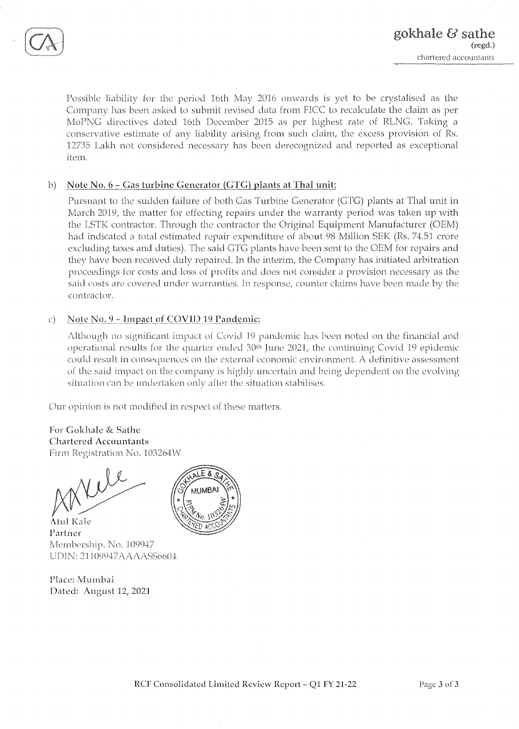

Possible liability for the period 16th May 2016 onwards is yet to be crystalised as the Company has been asked to submit revised data from FICC to recalculate the claim as per MoPNG directives dated 16th December 2015 as per highest rate of RLNG. Taking a conservative estimate of any liability arising from such claim, the excess provision of Rs. 12735 Lakh not considered necessary has been derccognized and reported as exceptional item.

# b) **Note No. 6** - **Gas turbine Generator(GTG)\_plants at Thal unit:**

Pursuant to the sudden failure of both Gas Turbine Generator (GTG) plants at Thal unit in March 2019, the matter for effecting repairs under the warranty period was taken up with the LSTK contractor. Through the contractor the Original Equipment Manufacturer (OEM) had indicated a total estimated repair expenditure of about 98 Million SEK (Rs. 74.51 crore excluding taxes and duties). The said GTG plants have been sent to the OEM for repairs and they have been received duly repaired. In the interim, the Company has initiated arbitration proceedings for costs and Joss of profits and does not consider a provision necessary as the said costs are covered under warranties. In response, counter claims have been made by the contractor.

# c) **Note No. 9 - Impact of COVID 19 Pandemic:**

Although no significant impact of Covid 19 pandemic has been noted on the financial and operational results for the quarter ended 30<sup>th</sup> June 2021, the continuing Covid 19 epidemic could result in consequences on the external economic environment. A definitive assessment of the said impact on the company is highly uncertain and being dependent on the evolving situation can be undertaken only after the situation stabilises.

Our opinion is not modified in respect of these matters.

**For Gokhale** & **Sathc Chartered Accountants**  Firm Registration No. 103264W

Atul Kale Partner Membership. No. 109947 UDIN: 21109947AAAAASS6604

Place: Mumbai Dated: August 12, 202]

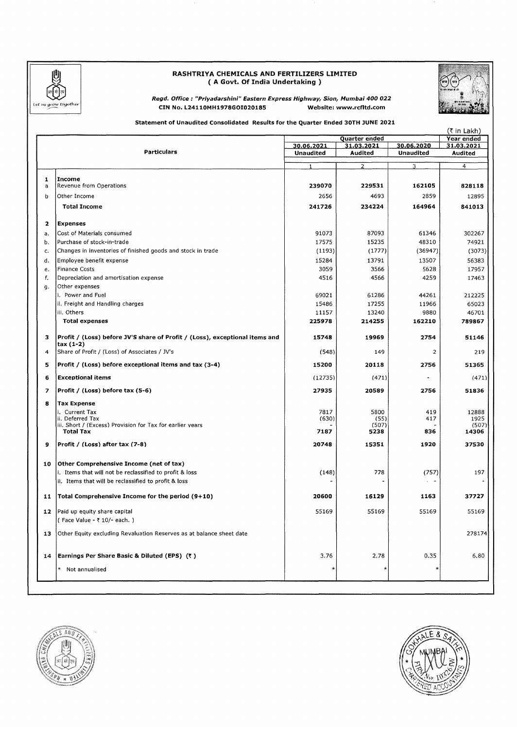

### **RASHTRIYA CHEMICALS AND FERTILIZERS LIMITED**  { **A Govt. Of India Undertaking** )



**Regd. Office : "Priyadarshinl" Eastern Express Highway, Sion, Mumbai 400 022 CIN No. L24110MH1978GOI020185 Website: www.rcfltd.com** 

#### **Statement of Unaudited Consolidated Results for the Quarter Ended 30TH JUNE 2021**

|              | Quarter ended                                                                            |                  |                |                  | (₹ in Lakh)              |
|--------------|------------------------------------------------------------------------------------------|------------------|----------------|------------------|--------------------------|
|              |                                                                                          | 30.06.2021       | 31.03.2021     | 30.06.2020       | Year ended<br>31.03.2021 |
|              | <b>Particulars</b>                                                                       | <b>Unaudited</b> | Audited        | <b>Unaudited</b> | Audited                  |
|              |                                                                                          |                  |                |                  |                          |
|              |                                                                                          | 1                | $\overline{2}$ | 3                | $\overline{4}$           |
| $\mathbf{1}$ | Income                                                                                   |                  |                |                  |                          |
| а            | Revenue from Operations                                                                  | 239070           | 229531         | 162105           | 828118                   |
| b            | Other Income                                                                             | 2656             | 4693           | 2859             | 12895                    |
|              | <b>Total Income</b>                                                                      | 241726           | 234224         | 164964           | 841013                   |
|              |                                                                                          |                  |                |                  |                          |
| 2            | <b>Expenses</b>                                                                          |                  |                |                  |                          |
| а.           | Cost of Materials consumed                                                               | 91073            | 87093          | 61346            | 302267                   |
| b.           | Purchase of stock-in-trade                                                               | 17575            | 15235          | 48310            | 74921                    |
| c.           | Changes in inventories of finished goods and stock in trade                              | (1193)           | (1777)         | (36947)          | (3073)                   |
| d.           | Employee benefit expense                                                                 | 15284            | 13791          | 13507            | 56383                    |
| e.           | Finance Costs                                                                            | 3059             | 3566           | 5628             | 17957                    |
| f.           | Depreciation and amortisation expense                                                    | 4516             | 4566           | 4259             | 17463                    |
|              | Other expenses                                                                           |                  |                |                  |                          |
| g.           | i. Power and Fuel                                                                        | 69021            | 61286          | 44261            | 212225                   |
|              | ii. Freight and Handling charges                                                         | 15486            | 17255          | 11966            | 65023                    |
|              | iii. Others                                                                              | 11157            | 13240          | 9880             | 46701                    |
|              | <b>Total expenses</b>                                                                    | 225978           | 214255         | 162210           | 789867                   |
|              |                                                                                          |                  |                |                  |                          |
| з            | Profit / (Loss) before JV'S share of Profit / (Loss), exceptional items and<br>tax (1-2) | 15748            | 19969          | 2754             | 51146                    |
| 4            | Share of Profit / (Loss) of Associates / JV's                                            | (548)            | 149            | 2                | 219                      |
| 5            | Profit / (Loss) before exceptional items and tax (3-4)                                   | 15200            | 20118          | 2756             | 51365                    |
| 6            | <b>Exceptional items</b>                                                                 | (12735)          | (471)          |                  | (471)                    |
| 7            | Profit / (Loss) before tax (5-6)                                                         | 27935            | 20589          | 2756             | 51836                    |
| 8            | <b>Tax Expense</b>                                                                       |                  |                |                  |                          |
|              | I. Current Tax                                                                           | 7817             | 5800           | 419              | 12888                    |
|              | ii. Deferred Tax                                                                         | (630)            | (55)           | 417              | 1925                     |
|              | iii. Short / (Excess) Provision for Tax for earlier years<br><b>Total Tax</b>            | 7187             | (507)<br>5238  | 836              | (507)<br>14306           |
|              |                                                                                          |                  |                |                  |                          |
| 9            | Profit / (Loss) after tax (7-8)                                                          | 20748            | 15351          | 1920             | 37530                    |
| 10           | Other Comprehensive Income (net of tax)                                                  |                  |                |                  |                          |
|              | i. Items that will not be reclassified to profit & loss                                  | (148)            | 778            | (757)            | 197                      |
|              | ii. Items that will be reclassified to profit & loss                                     |                  |                |                  |                          |
|              |                                                                                          |                  |                |                  |                          |
| 11           | Total Comprehensive Income for the period (9+10)                                         | 20600            | 16129          | 1163             | 37727                    |
|              | 12   Paid up equity share capital                                                        | 55169            | 55169          | 55169            | 55169                    |
|              | (Face Value - ₹ 10/- each.)                                                              |                  |                |                  |                          |
| 13           | Other Equity excluding Revaluation Reserves as at balance sheet date                     |                  |                |                  | 278174                   |
| 14           | Earnings Per Share Basic & Diluted (EPS) (₹)                                             | 3.76             | 2.78           | 0.35             | 6.80                     |
|              |                                                                                          |                  |                |                  |                          |
|              | *<br>Not annualised                                                                      |                  |                | $\ast$           |                          |



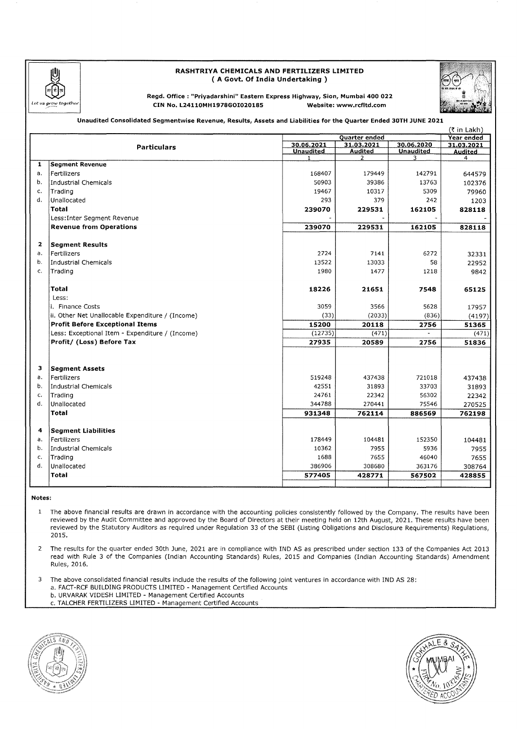

#### **RASHTRIYA CHEMICALS AND FERTILIZERS LIMITED**  ( **A Govt. Of India Undertaking** )



**Regd. Office : "Priyadarshini" Eastern Express Highway, Sion, Mumbai 400 022 CIN No. L24110MH1978G0I020185 Website: www.rcfltd.com** 

**Unaudited Consolidated Segmentwise Revenue, Results, Assets and Liabilities for the Quarter Ended 30TH JUNE 2021** 

|                |                                                  |                                  |                                  |                       | (₹ in Lakh)         |
|----------------|--------------------------------------------------|----------------------------------|----------------------------------|-----------------------|---------------------|
|                |                                                  |                                  | <b>Quarter ended</b>             |                       | Year ended          |
|                | <b>Particulars</b>                               | 30.06.2021                       | 31.03.2021                       | 30.06.2020            | 31.03.2021          |
|                |                                                  | <b>Unaudited</b><br>$\mathbf{1}$ | <b>Audited</b><br>$\overline{2}$ | <b>Unaudited</b><br>3 | <b>Audited</b><br>4 |
| 1              | <b>Segment Revenue</b>                           |                                  |                                  |                       |                     |
| а.             | l Fertilizers                                    | 168407                           | 179449                           | 142791                | 644579              |
| b.             | Industrial Chemicals                             | 50903                            | 39386                            | 13763                 | 102376              |
| $\mathsf{C}$   | Trading                                          | 19467                            | 10317                            | 5309                  | 79960               |
| d.             | Unallocated                                      | 293                              | 379                              | 242                   | 1203                |
|                | Total                                            | 239070                           | 229531                           | 162105                | 828118              |
|                | Less: Inter Segment Revenue                      |                                  |                                  |                       |                     |
|                | <b>Revenue from Operations</b>                   | 239070                           | 229531                           | 162105                | 828118              |
|                |                                                  |                                  |                                  |                       |                     |
| $\overline{2}$ | <b>Segment Results</b>                           |                                  |                                  |                       |                     |
| a.             | Fertilizers                                      | 2724                             | 7141                             | 6272                  | 32331               |
| b.             | Industrial Chemicals                             | 13522                            | 13033                            | 58                    | 22952               |
| c.             | Trading                                          | 1980                             | 1477                             | 1218                  | 9842                |
|                |                                                  |                                  |                                  |                       |                     |
|                | <b>Total</b>                                     | 18226                            | 21651                            | 7548                  | 65125               |
|                | Less:                                            |                                  |                                  |                       |                     |
|                | i. Finance Costs                                 | 3059                             | 3566                             | 5628                  | 17957               |
|                | ii. Other Net Unallocable Expenditure / (Income) | (33)                             | (2033)                           | (836)                 | (4197)              |
|                | <b>Profit Before Exceptional Items</b>           | 15200                            | 20118                            | 2756                  | 51365               |
|                | Less: Exceptional Item - Expenditure / (Income)  | (12735)                          | (471)                            |                       | (471)               |
|                | Profit/ (Loss) Before Tax                        | 27935                            | 20589                            | 2756                  | 51836               |
|                |                                                  |                                  |                                  |                       |                     |
|                |                                                  |                                  |                                  |                       |                     |
| з              | <b>Segment Assets</b>                            |                                  |                                  |                       |                     |
| a.             | Fertilizers                                      | 519248                           | 437438                           | 721018                | 437438              |
| b.             | Industrial Chemicals                             | 42551                            | 31893                            | 33703                 | 31893               |
| c.             | Trading                                          | 24761                            | 22342                            | 56302                 | 22342               |
| d.             | Unallocated                                      | 344788                           | 270441                           | 75546                 | 270525              |
|                | <b>Total</b>                                     | 931348                           | 762114                           | 886569                | 762198              |
|                |                                                  |                                  |                                  |                       |                     |
| 4              | <b>Segment Liabilities</b>                       |                                  |                                  |                       |                     |
| a.             | Fertilizers                                      | 178449                           | 104481                           | 152350                | 104481              |
| b.             | Industrial Chemicals                             | 10362                            | 7955                             | 5936                  | 7955                |
| c.             | Trading                                          | 1688                             | 7655                             | 46040                 | 7655                |
| d.             | Unallocated                                      | 386906                           | 308680                           | 363176                | 308764              |
|                | <b>Total</b>                                     | 577405                           | 428771                           | 567502                | 428855              |
|                |                                                  |                                  |                                  |                       |                     |

**Notes:** 

1 The above financial results are drawn in accordance with the accounting policies consistently followed by the Company. The results have been reviewed by the Audit Committee and approved by the Board of Directors at their meeting held on 12th August, 2021. These results have been reviewed by the Statutory Auditors as required under Regulation 33 of the SEBI (Listing Obligations and Disclosure Requirements) Regulations, 2015.

2 The results for the quarter ended 30th June, 2021 are in compliance with IND AS as prescribed under section 133 of the Companies Act 2013 read with Rule 3 of the Companies (Indian Accounting Standards) Rules, 2015 and Companies (Indian Accounting Standards) Amendment Rules, 2016.

3 The above consolidated financial results include the results of the following joint ventures in accordance with IND AS 28:

a. FACT-RCF BUILDING PRODUCTS LIMITED - Management Certified Accounts

b. URVARAK VIDESH LIMITED - Management Certified Accounts

c. TALCHER FERTILIZERS LIMITED - Management Certified Accounts



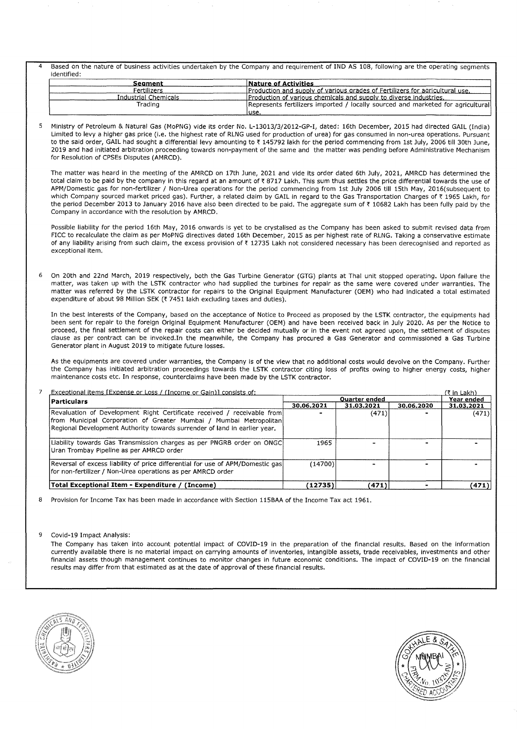Based on the nature of business activities undertaken by the Company and requirement of IND AS 108, following are the operating segments identified:

| Seament              | Nature of Activities                                                            |
|----------------------|---------------------------------------------------------------------------------|
| Fertilizers          | Production and supply of various grades of Fertilizers for agricultural use.    |
| Industrial Chemicals | <b>Production of various chemicals and supply to diverse industries.</b>        |
| Trading              | Represents fertilizers imported / locally sourced and marketed for agricultural |
|                      | 'use.                                                                           |

5 Ministry of Petroleum & Natural Gas (MoPNG) vlde its order No. L-13013/3/2012-GP-I, dated: 16th December, 2015 had directed GAIL (India) Limited to levy a higher gas price (i.e. the highest rate of RLNG used for production of urea) for gas consumed in non-urea operations. Pursuant to the said order, GAIL had sought a differential levy amounting to ₹145792 lakh for the period commencing from 1st July, 2006 till 30th June. 2019 and had initiated arbitration proceeding towards non-payment of the same and the matter was pending before Administrative Mechanism for Resolution of CPSEs Disputes (AMRCD).

The matter was heard in the meeting of the AMRCD on 17th June, 2021 and vide its order dated 6th July, 2021, AMRCD has determined the total claim to be paid by the company in this regard at an amount of ₹8717 Lakh. This sum thus settles the price differential towards the use of A PM/Domestic gas for non-fertilizer / Non-Urea operations for the period commencing from 1st July 2006 till 15th May, 2016(subsequent to which Company sourced market priced gas). Further, a related claim by GAIL in regard to the Gas Transportation Charges of ₹ 1965 Lakh, for the period December 2013 to January 2016 have also been directed to be paid. The aggregate sum of ₹ 10682 Lakh has been fully paid by the Company in accordance with the resolution by AMRCD.

Possible liability for the period 16th May, 2016 onwards is yet to be crystalised as the Company has been asked to submit revised data from FICC to recalculate the claim as per MoPNG directives dated 16th December, 2015 as per highest rate of RLNG. Taking a conservative estimate of any liability arising from such claim, the excess provision of ₹ 12735 Lakh not considered necessary has been derecognised and reported as exceptional item.

6 On 20th and 22nd March, 2019 respectively, both the Gas Turbine Generator (GTG) plants at Thal unit stopped operating. Upon failure the matter, was taken up with the LSTK contractor who had supplied the turbines for repair as the same were covered under warranties. The matter was referred by the LSTK contractor for repairs to the Original Equipment Manufacturer (OEM) who had Indicated a total estimated expenditure of about 98 Million SEK (₹ 7451 lakh excluding taxes and duties).

In the best Interests of the Company, based on the acceptance of Notice to Proceed as proposed by the LSTK contractor, the equipments had been sent for repair to the foreign Original Equipment Manufacturer (OEM) and have been received back In July 2020. As per the Notice to proceed, the final settlement of the repair costs can either be decided mutually or in the event not agreed upon, the settlement of disputes clause as per contract can be invoked.In the meanwhile, the Company has procured a Gas Generator and commissioned a Gas Turbine Generator plant in August 2019 to mitigate future losses.

As the equipments are covered under warranties, the Company is of the view that no additional costs would devolve on the Company. Further the Company has Initiated arbitration proceedings towards the LSTK contractor citing loss of profits owing to higher energy costs, higher maintenance costs etc. In response, counterclaims have been made by the LSTK contractor.

| Exceptional items (Expense or Loss / (Income or Gain)] consists of:                                                                                                                                                        |                      |            |            | (₹ in Lakh) |
|----------------------------------------------------------------------------------------------------------------------------------------------------------------------------------------------------------------------------|----------------------|------------|------------|-------------|
| <b>Particulars</b>                                                                                                                                                                                                         | <b>Ouarter ended</b> |            |            | Year ended  |
|                                                                                                                                                                                                                            | 30.06.2021           | 31.03.2021 | 30.06.2020 | 31.03.2021  |
| Revaluation of Development Right Certificate received / receivable from<br>from Municipal Corporation of Greater Mumbai / Mumbai Metropolitan<br>Regional Development Authority towards surrender of land in earlier year. |                      | (471)      |            | (471)       |
| Liability towards Gas Transmission charges as per PNGRB order on ONGC<br>Uran Trombay Pipeline as per AMRCD order                                                                                                          | 1965                 |            |            |             |
| Reversal of excess liability of price differential for use of APM/Domestic gas<br>for non-fertilizer / Non-Urea operations as per AMRCD order                                                                              | (14700)              |            |            |             |
| Total Exceptional Item - Expenditure / (Income)                                                                                                                                                                            | (12735)              | (471)      |            | (471)       |

8 Provision for Income Tax has been made in accordance with Section 115BAA of the Income Tax act 1961.

#### 9 Covid-19 Impact Analysis:

The Company has taken into account potential Impact of COVID-19 in the preparation of the financial results. Based on the information currently available there is no material impact on carrying amounts of Inventories, Intangible assets, trade receivables, investments and other financial assets though management continues to monitor changes in future economic conditions. The impact of COVID-19 on the financial results may differ from that estimated as at the date of approval of these financial results.